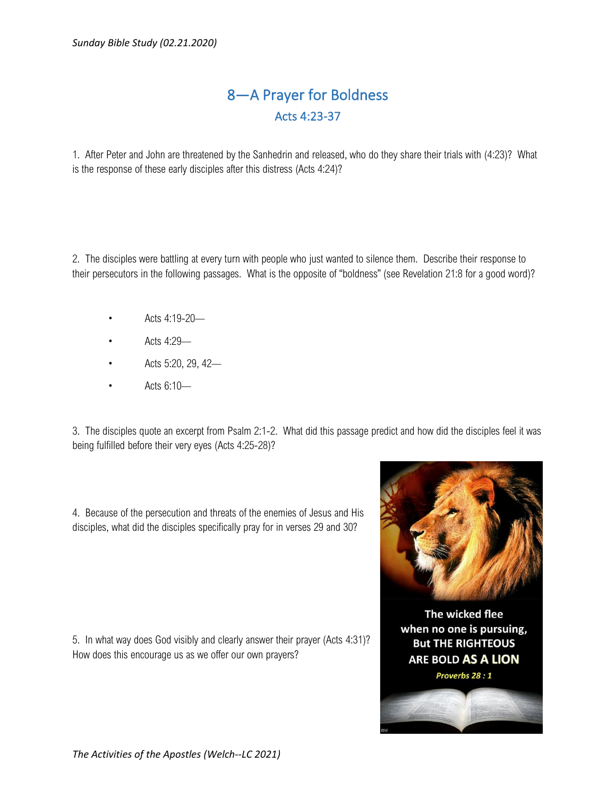## 8—A Prayer for Boldness Acts 4:23-37

1. After Peter and John are threatened by the Sanhedrin and released, who do they share their trials with (4:23)? What is the response of these early disciples after this distress (Acts 4:24)?

2. The disciples were battling at every turn with people who just wanted to silence them. Describe their response to their persecutors in the following passages. What is the opposite of "boldness" (see Revelation 21:8 for a good word)?

- Acts 4:19-20—
- Acts 4:29—
- Acts 5:20, 29, 42—
- Acts 6:10—

3. The disciples quote an excerpt from Psalm 2:1-2. What did this passage predict and how did the disciples feel it was being fulfilled before their very eyes (Acts 4:25-28)?

4. Because of the persecution and threats of the enemies of Jesus and His disciples, what did the disciples specifically pray for in verses 29 and 30?

5. In what way does God visibly and clearly answer their prayer (Acts 4:31)? How does this encourage us as we offer our own prayers?



The wicked flee when no one is pursuing, **But THE RIGHTEOUS ARE BOLD AS A LION** 

## Proverbs 28 : 1